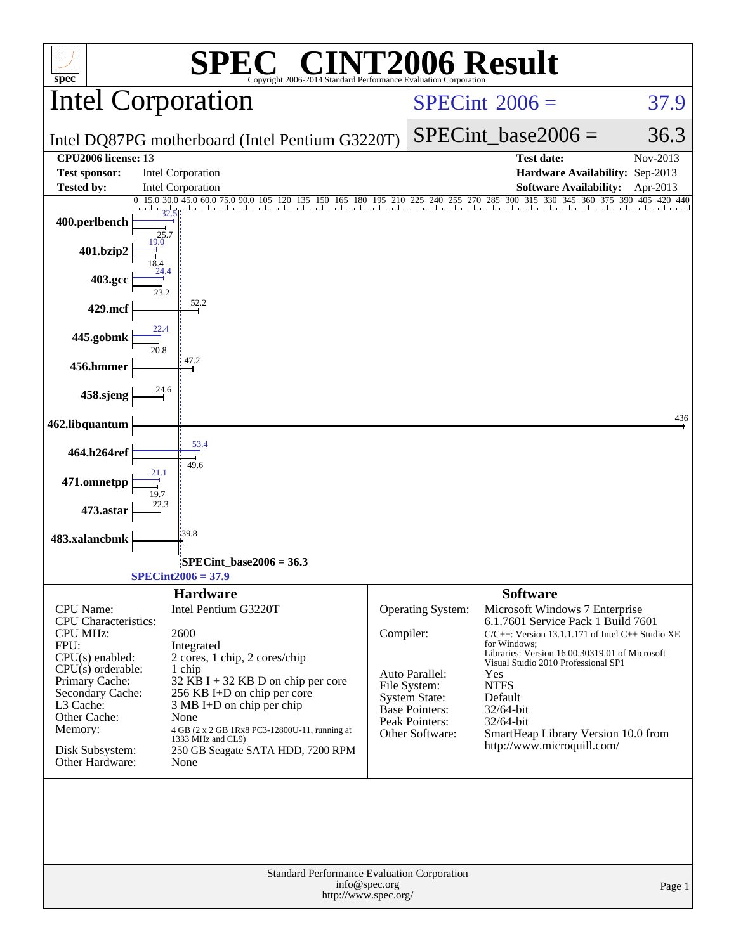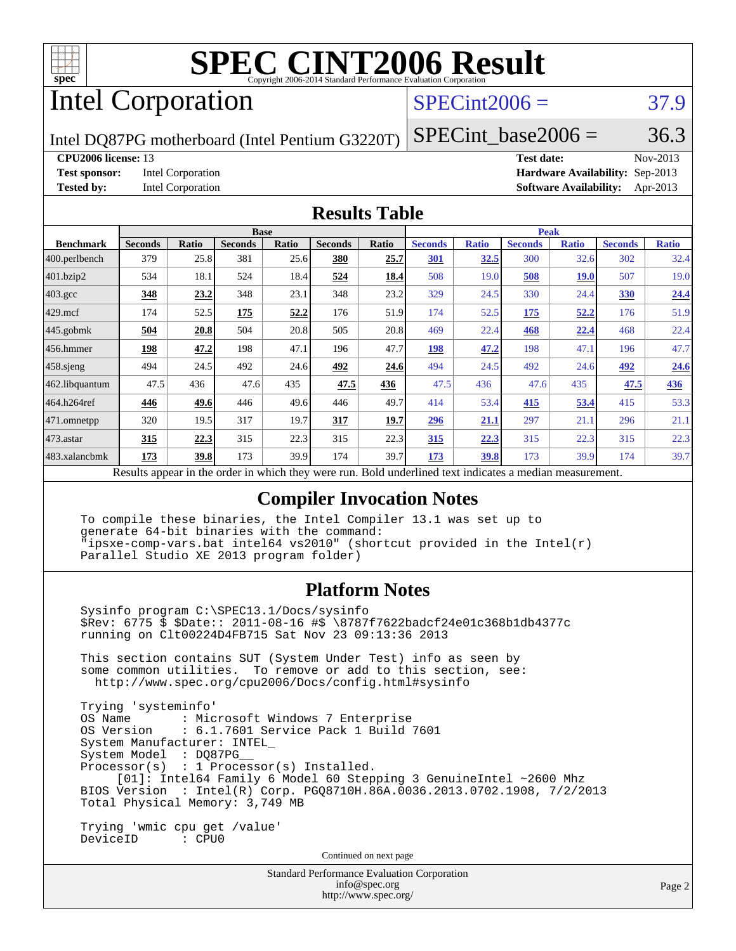

# Intel Corporation

## $SPECint2006 = 37.9$  $SPECint2006 = 37.9$

Intel DQ87PG motherboard (Intel Pentium G3220T)

SPECint base2006 =  $36.3$ 

**[CPU2006 license:](http://www.spec.org/auto/cpu2006/Docs/result-fields.html#CPU2006license)** 13 **[Test date:](http://www.spec.org/auto/cpu2006/Docs/result-fields.html#Testdate)** Nov-2013 **[Test sponsor:](http://www.spec.org/auto/cpu2006/Docs/result-fields.html#Testsponsor)** Intel Corporation **[Hardware Availability:](http://www.spec.org/auto/cpu2006/Docs/result-fields.html#HardwareAvailability)** Sep-2013 **[Tested by:](http://www.spec.org/auto/cpu2006/Docs/result-fields.html#Testedby)** Intel Corporation **[Software Availability:](http://www.spec.org/auto/cpu2006/Docs/result-fields.html#SoftwareAvailability)** Apr-2013

#### **[Results Table](http://www.spec.org/auto/cpu2006/Docs/result-fields.html#ResultsTable)**

|                         | <b>Base</b>                                      |       |                |       |                |       | <b>Peak</b>                                         |              |                |              |                |              |
|-------------------------|--------------------------------------------------|-------|----------------|-------|----------------|-------|-----------------------------------------------------|--------------|----------------|--------------|----------------|--------------|
| <b>Benchmark</b>        | <b>Seconds</b>                                   | Ratio | <b>Seconds</b> | Ratio | <b>Seconds</b> | Ratio | <b>Seconds</b>                                      | <b>Ratio</b> | <b>Seconds</b> | <b>Ratio</b> | <b>Seconds</b> | <b>Ratio</b> |
| $ 400.\text{perlbench}$ | 379                                              | 25.8  | 381            | 25.6  | 380            | 25.7  | 301                                                 | 32.5         | 300            | 32.6         | 302            | 32.4         |
| 401.bzip2               | 534                                              | 18.1  | 524            | 18.4  | 524            | 18.4  | 508                                                 | 19.0         | 508            | <b>19.0</b>  | 507            | 19.0         |
| $403.\text{gcc}$        | 348                                              | 23.2  | 348            | 23.1  | 348            | 23.2  | 329                                                 | 24.5         | 330            | 24.4         | <b>330</b>     | 24.4         |
| $429$ .mcf              | 174                                              | 52.5  | 175            | 52.2  | 176            | 51.9  | 174                                                 | 52.5         | 175            | 52,2         | 176            | 51.9         |
| $445$ .gobmk            | 504                                              | 20.8  | 504            | 20.8  | 505            | 20.8  | 469                                                 | 22.4         | 468            | 22.4         | 468            | 22.4         |
| 456.hmmer               | 198                                              | 47.2  | 198            | 47.1  | 196            | 47.7  | 198                                                 | 47.2         | 198            | 47.1         | 196            | 47.7         |
| $458$ sjeng             | 494                                              | 24.5  | 492            | 24.6  | 492            | 24.6  | 494                                                 | 24.5         | 492            | 24.6         | 492            | 24.6         |
| 462.libquantum          | 47.5                                             | 436   | 47.6           | 435   | 47.5           | 436   | 47.5                                                | 436          | 47.6           | 435          | 47.5           | 436          |
| 464.h264ref             | 446                                              | 49.6  | 446            | 49.6  | 446            | 49.7  | 414                                                 | 53.4         | 415            | 53.4         | 415            | 53.3         |
| 471.omnetpp             | 320                                              | 19.5  | 317            | 19.7  | 317            | 19.7  | 296                                                 | 21.1         | 297            | 21.1         | 296            | 21.1         |
| $473.$ astar            | 315                                              | 22.3  | 315            | 22.3  | 315            | 22.3  | 315                                                 | 22.3         | 315            | 22.3         | 315            | 22.3         |
| 483.xalancbmk           | 173                                              | 39.8  | 173            | 39.9  | 174            | 39.7  | 173                                                 | 39.8         | 173            | 39.9         | 174            | 39.7         |
|                         | Decute ennoan in the order in which they were my |       |                |       |                |       | Dold underlined text indicates a madian measurement |              |                |              |                |              |

Results appear in the [order in which they were run.](http://www.spec.org/auto/cpu2006/Docs/result-fields.html#RunOrder) Bold underlined text [indicates a median measurement.](http://www.spec.org/auto/cpu2006/Docs/result-fields.html#Median)

### **[Compiler Invocation Notes](http://www.spec.org/auto/cpu2006/Docs/result-fields.html#CompilerInvocationNotes)**

 To compile these binaries, the Intel Compiler 13.1 was set up to generate 64-bit binaries with the command: "ipsxe-comp-vars.bat intel64 vs2010" (shortcut provided in the Intel(r) Parallel Studio XE 2013 program folder)

#### **[Platform Notes](http://www.spec.org/auto/cpu2006/Docs/result-fields.html#PlatformNotes)**

 Sysinfo program C:\SPEC13.1/Docs/sysinfo \$Rev: 6775 \$ \$Date:: 2011-08-16 #\$ \8787f7622badcf24e01c368b1db4377c running on Clt00224D4FB715 Sat Nov 23 09:13:36 2013

 This section contains SUT (System Under Test) info as seen by some common utilities. To remove or add to this section, see: <http://www.spec.org/cpu2006/Docs/config.html#sysinfo>

 Trying 'systeminfo' : Microsoft Windows 7 Enterprise OS Version : 6.1.7601 Service Pack 1 Build 7601 System Manufacturer: INTEL\_ System Model : DQ87PG\_\_ Processor(s) : 1 Processor(s) Installed. [01]: Intel64 Family 6 Model 60 Stepping 3 GenuineIntel ~2600 Mhz BIOS Version : Intel(R) Corp. PGQ8710H.86A.0036.2013.0702.1908, 7/2/2013 Total Physical Memory: 3,749 MB

 Trying 'wmic cpu get /value' DeviceID : CPU0

Continued on next page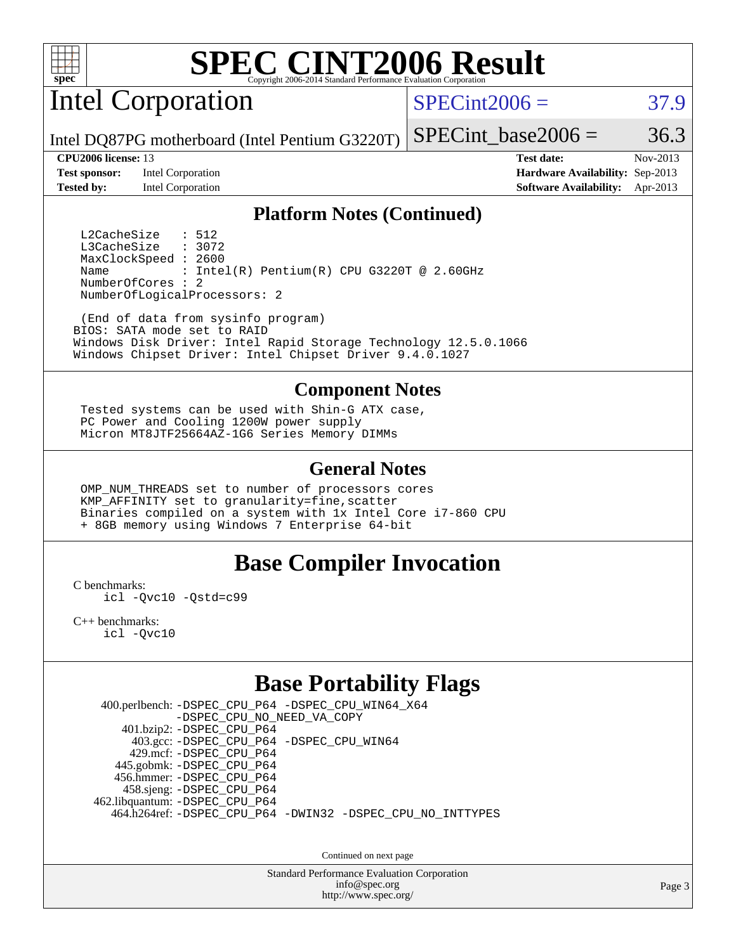

Intel Corporation

 $SPECint2006 = 37.9$  $SPECint2006 = 37.9$ 

SPECint base2006 =  $36.3$ 

Intel DQ87PG motherboard (Intel Pentium G3220T)

**[Test sponsor:](http://www.spec.org/auto/cpu2006/Docs/result-fields.html#Testsponsor)** Intel Corporation **[Hardware Availability:](http://www.spec.org/auto/cpu2006/Docs/result-fields.html#HardwareAvailability)** Sep-2013 **[Tested by:](http://www.spec.org/auto/cpu2006/Docs/result-fields.html#Testedby)** Intel Corporation **[Software Availability:](http://www.spec.org/auto/cpu2006/Docs/result-fields.html#SoftwareAvailability)** Apr-2013

**[CPU2006 license:](http://www.spec.org/auto/cpu2006/Docs/result-fields.html#CPU2006license)** 13 **[Test date:](http://www.spec.org/auto/cpu2006/Docs/result-fields.html#Testdate)** Nov-2013

#### **[Platform Notes \(Continued\)](http://www.spec.org/auto/cpu2006/Docs/result-fields.html#PlatformNotes)**

L2CacheSize : 512<br>L3CacheSize : 3072 L3CacheSize MaxClockSpeed : 2600 Name : Intel(R) Pentium(R) CPU G3220T @ 2.60GHz NumberOfCores : 2 NumberOfLogicalProcessors: 2

 (End of data from sysinfo program) BIOS: SATA mode set to RAID Windows Disk Driver: Intel Rapid Storage Technology 12.5.0.1066 Windows Chipset Driver: Intel Chipset Driver 9.4.0.1027

#### **[Component Notes](http://www.spec.org/auto/cpu2006/Docs/result-fields.html#ComponentNotes)**

 Tested systems can be used with Shin-G ATX case, PC Power and Cooling 1200W power supply Micron MT8JTF25664AZ-1G6 Series Memory DIMMs

#### **[General Notes](http://www.spec.org/auto/cpu2006/Docs/result-fields.html#GeneralNotes)**

 OMP\_NUM\_THREADS set to number of processors cores KMP\_AFFINITY set to granularity=fine,scatter Binaries compiled on a system with 1x Intel Core i7-860 CPU + 8GB memory using Windows 7 Enterprise 64-bit

### **[Base Compiler Invocation](http://www.spec.org/auto/cpu2006/Docs/result-fields.html#BaseCompilerInvocation)**

[C benchmarks](http://www.spec.org/auto/cpu2006/Docs/result-fields.html#Cbenchmarks):

[icl -Qvc10](http://www.spec.org/cpu2006/results/res2014q3/cpu2006-20140701-30248.flags.html#user_CCbase_intel_icc_vc10_9607f3ecbcdf68042245f068e51b40c1) [-Qstd=c99](http://www.spec.org/cpu2006/results/res2014q3/cpu2006-20140701-30248.flags.html#user_CCbase_intel_compiler_c99_mode_1a3d110e3041b3ad4466830521bdad2a)

[C++ benchmarks:](http://www.spec.org/auto/cpu2006/Docs/result-fields.html#CXXbenchmarks) [icl -Qvc10](http://www.spec.org/cpu2006/results/res2014q3/cpu2006-20140701-30248.flags.html#user_CXXbase_intel_icc_vc10_9607f3ecbcdf68042245f068e51b40c1)

## **[Base Portability Flags](http://www.spec.org/auto/cpu2006/Docs/result-fields.html#BasePortabilityFlags)**

 400.perlbench: [-DSPEC\\_CPU\\_P64](http://www.spec.org/cpu2006/results/res2014q3/cpu2006-20140701-30248.flags.html#b400.perlbench_basePORTABILITY_DSPEC_CPU_P64) [-DSPEC\\_CPU\\_WIN64\\_X64](http://www.spec.org/cpu2006/results/res2014q3/cpu2006-20140701-30248.flags.html#b400.perlbench_baseCPORTABILITY_DSPEC_CPU_WIN64_X64) [-DSPEC\\_CPU\\_NO\\_NEED\\_VA\\_COPY](http://www.spec.org/cpu2006/results/res2014q3/cpu2006-20140701-30248.flags.html#b400.perlbench_baseCPORTABILITY_DSPEC_CPU_NO_NEED_VA_COPY) 401.bzip2: [-DSPEC\\_CPU\\_P64](http://www.spec.org/cpu2006/results/res2014q3/cpu2006-20140701-30248.flags.html#suite_basePORTABILITY401_bzip2_DSPEC_CPU_P64) 403.gcc: [-DSPEC\\_CPU\\_P64](http://www.spec.org/cpu2006/results/res2014q3/cpu2006-20140701-30248.flags.html#suite_basePORTABILITY403_gcc_DSPEC_CPU_P64) [-DSPEC\\_CPU\\_WIN64](http://www.spec.org/cpu2006/results/res2014q3/cpu2006-20140701-30248.flags.html#b403.gcc_baseCPORTABILITY_DSPEC_CPU_WIN64) 429.mcf: [-DSPEC\\_CPU\\_P64](http://www.spec.org/cpu2006/results/res2014q3/cpu2006-20140701-30248.flags.html#suite_basePORTABILITY429_mcf_DSPEC_CPU_P64) 445.gobmk: [-DSPEC\\_CPU\\_P64](http://www.spec.org/cpu2006/results/res2014q3/cpu2006-20140701-30248.flags.html#suite_basePORTABILITY445_gobmk_DSPEC_CPU_P64) 456.hmmer: [-DSPEC\\_CPU\\_P64](http://www.spec.org/cpu2006/results/res2014q3/cpu2006-20140701-30248.flags.html#suite_basePORTABILITY456_hmmer_DSPEC_CPU_P64) 458.sjeng: [-DSPEC\\_CPU\\_P64](http://www.spec.org/cpu2006/results/res2014q3/cpu2006-20140701-30248.flags.html#suite_basePORTABILITY458_sjeng_DSPEC_CPU_P64) 462.libquantum: [-DSPEC\\_CPU\\_P64](http://www.spec.org/cpu2006/results/res2014q3/cpu2006-20140701-30248.flags.html#suite_basePORTABILITY462_libquantum_DSPEC_CPU_P64) 464.h264ref: [-DSPEC\\_CPU\\_P64](http://www.spec.org/cpu2006/results/res2014q3/cpu2006-20140701-30248.flags.html#suite_basePORTABILITY464_h264ref_DSPEC_CPU_P64) [-DWIN32](http://www.spec.org/cpu2006/results/res2014q3/cpu2006-20140701-30248.flags.html#b464.h264ref_baseCPORTABILITY_DWIN32) [-DSPEC\\_CPU\\_NO\\_INTTYPES](http://www.spec.org/cpu2006/results/res2014q3/cpu2006-20140701-30248.flags.html#b464.h264ref_baseCPORTABILITY_DSPEC_CPU_NO_INTTYPES)

Continued on next page

Standard Performance Evaluation Corporation [info@spec.org](mailto:info@spec.org) <http://www.spec.org/>

Page 3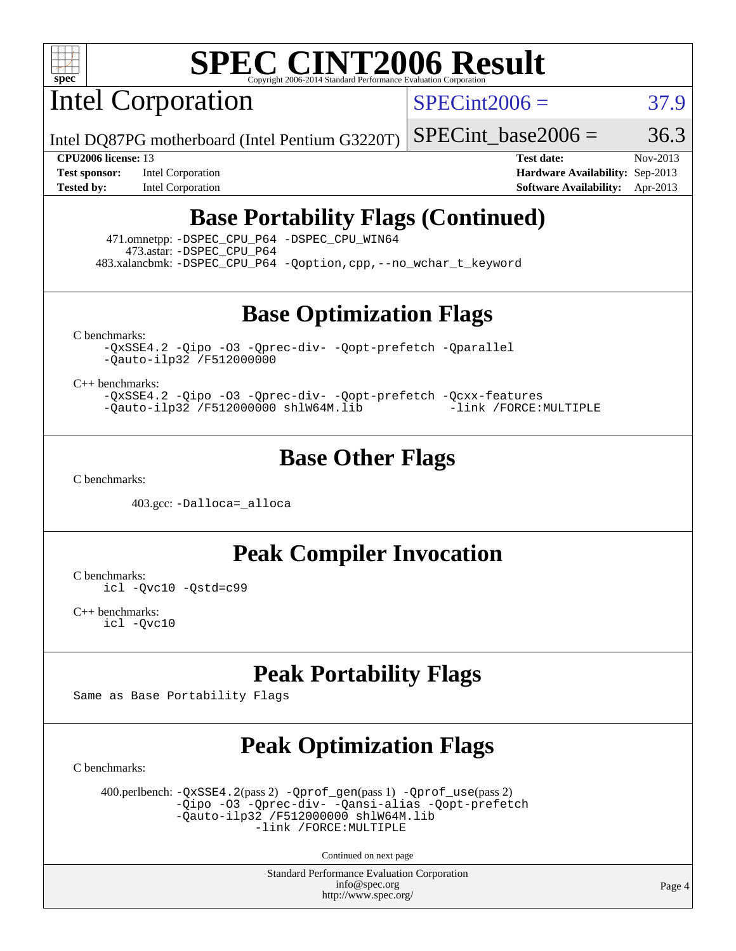

Intel Corporation

 $SPECint2006 = 37.9$  $SPECint2006 = 37.9$ 

Intel DQ87PG motherboard (Intel Pentium G3220T)

SPECint base2006 =  $36.3$ 

**[Test sponsor:](http://www.spec.org/auto/cpu2006/Docs/result-fields.html#Testsponsor)** Intel Corporation **[Hardware Availability:](http://www.spec.org/auto/cpu2006/Docs/result-fields.html#HardwareAvailability)** Sep-2013

**[CPU2006 license:](http://www.spec.org/auto/cpu2006/Docs/result-fields.html#CPU2006license)** 13 **[Test date:](http://www.spec.org/auto/cpu2006/Docs/result-fields.html#Testdate)** Nov-2013 **[Tested by:](http://www.spec.org/auto/cpu2006/Docs/result-fields.html#Testedby)** Intel Corporation **[Software Availability:](http://www.spec.org/auto/cpu2006/Docs/result-fields.html#SoftwareAvailability)** Apr-2013

## **[Base Portability Flags \(Continued\)](http://www.spec.org/auto/cpu2006/Docs/result-fields.html#BasePortabilityFlags)**

 471.omnetpp: [-DSPEC\\_CPU\\_P64](http://www.spec.org/cpu2006/results/res2014q3/cpu2006-20140701-30248.flags.html#suite_basePORTABILITY471_omnetpp_DSPEC_CPU_P64) [-DSPEC\\_CPU\\_WIN64](http://www.spec.org/cpu2006/results/res2014q3/cpu2006-20140701-30248.flags.html#b471.omnetpp_baseCXXPORTABILITY_DSPEC_CPU_WIN64) 473.astar: [-DSPEC\\_CPU\\_P64](http://www.spec.org/cpu2006/results/res2014q3/cpu2006-20140701-30248.flags.html#suite_basePORTABILITY473_astar_DSPEC_CPU_P64) 483.xalancbmk: [-DSPEC\\_CPU\\_P64](http://www.spec.org/cpu2006/results/res2014q3/cpu2006-20140701-30248.flags.html#suite_basePORTABILITY483_xalancbmk_DSPEC_CPU_P64) [-Qoption,cpp,--no\\_wchar\\_t\\_keyword](http://www.spec.org/cpu2006/results/res2014q3/cpu2006-20140701-30248.flags.html#user_baseCXXPORTABILITY483_xalancbmk_f-no_wchar_t_keyword_ec0ad4495a16b4e858bfcb29d949d25d)

**[Base Optimization Flags](http://www.spec.org/auto/cpu2006/Docs/result-fields.html#BaseOptimizationFlags)**

[C benchmarks](http://www.spec.org/auto/cpu2006/Docs/result-fields.html#Cbenchmarks):

[-QxSSE4.2](http://www.spec.org/cpu2006/results/res2014q3/cpu2006-20140701-30248.flags.html#user_CCbase_f-QxSSE42_372695bbe211719895df0310b324a1ca) [-Qipo](http://www.spec.org/cpu2006/results/res2014q3/cpu2006-20140701-30248.flags.html#user_CCbase_f-Qipo) [-O3](http://www.spec.org/cpu2006/results/res2014q3/cpu2006-20140701-30248.flags.html#user_CCbase_f-O3) [-Qprec-div-](http://www.spec.org/cpu2006/results/res2014q3/cpu2006-20140701-30248.flags.html#user_CCbase_f-Qprec-div-) [-Qopt-prefetch](http://www.spec.org/cpu2006/results/res2014q3/cpu2006-20140701-30248.flags.html#user_CCbase_f-Qprefetch_37c211608666b9dff9380561f602f0a8) [-Qparallel](http://www.spec.org/cpu2006/results/res2014q3/cpu2006-20140701-30248.flags.html#user_CCbase_f-Qparallel) [-Qauto-ilp32](http://www.spec.org/cpu2006/results/res2014q3/cpu2006-20140701-30248.flags.html#user_CCbase_f-Qauto-ilp32) [/F512000000](http://www.spec.org/cpu2006/results/res2014q3/cpu2006-20140701-30248.flags.html#user_CCbase_set_stack_space_98438a10eb60aa5f35f4c79d9b9b27b1)

[C++ benchmarks:](http://www.spec.org/auto/cpu2006/Docs/result-fields.html#CXXbenchmarks)

[-QxSSE4.2](http://www.spec.org/cpu2006/results/res2014q3/cpu2006-20140701-30248.flags.html#user_CXXbase_f-QxSSE42_372695bbe211719895df0310b324a1ca) [-Qipo](http://www.spec.org/cpu2006/results/res2014q3/cpu2006-20140701-30248.flags.html#user_CXXbase_f-Qipo) [-O3](http://www.spec.org/cpu2006/results/res2014q3/cpu2006-20140701-30248.flags.html#user_CXXbase_f-O3) [-Qprec-div-](http://www.spec.org/cpu2006/results/res2014q3/cpu2006-20140701-30248.flags.html#user_CXXbase_f-Qprec-div-) [-Qopt-prefetch](http://www.spec.org/cpu2006/results/res2014q3/cpu2006-20140701-30248.flags.html#user_CXXbase_f-Qprefetch_37c211608666b9dff9380561f602f0a8) [-Qcxx-features](http://www.spec.org/cpu2006/results/res2014q3/cpu2006-20140701-30248.flags.html#user_CXXbase_f-Qcxx_features_dbf36c8a6dba956e22f1645e4dcd4d98) [-Qauto-ilp32](http://www.spec.org/cpu2006/results/res2014q3/cpu2006-20140701-30248.flags.html#user_CXXbase_f-Qauto-ilp32) [/F512000000](http://www.spec.org/cpu2006/results/res2014q3/cpu2006-20140701-30248.flags.html#user_CXXbase_set_stack_space_98438a10eb60aa5f35f4c79d9b9b27b1) [shlW64M.lib](http://www.spec.org/cpu2006/results/res2014q3/cpu2006-20140701-30248.flags.html#user_CXXbase_SmartHeap64_c4f7f76711bdf8c0633a5c1edf6e5396) [-link /FORCE:MULTIPLE](http://www.spec.org/cpu2006/results/res2014q3/cpu2006-20140701-30248.flags.html#user_CXXbase_link_force_multiple2_070fe330869edf77077b841074b8b0b6)

### **[Base Other Flags](http://www.spec.org/auto/cpu2006/Docs/result-fields.html#BaseOtherFlags)**

[C benchmarks](http://www.spec.org/auto/cpu2006/Docs/result-fields.html#Cbenchmarks):

403.gcc: [-Dalloca=\\_alloca](http://www.spec.org/cpu2006/results/res2014q3/cpu2006-20140701-30248.flags.html#b403.gcc_baseEXTRA_CFLAGS_Dalloca_be3056838c12de2578596ca5467af7f3)

**[Peak Compiler Invocation](http://www.spec.org/auto/cpu2006/Docs/result-fields.html#PeakCompilerInvocation)**

[C benchmarks](http://www.spec.org/auto/cpu2006/Docs/result-fields.html#Cbenchmarks): [icl -Qvc10](http://www.spec.org/cpu2006/results/res2014q3/cpu2006-20140701-30248.flags.html#user_CCpeak_intel_icc_vc10_9607f3ecbcdf68042245f068e51b40c1) [-Qstd=c99](http://www.spec.org/cpu2006/results/res2014q3/cpu2006-20140701-30248.flags.html#user_CCpeak_intel_compiler_c99_mode_1a3d110e3041b3ad4466830521bdad2a)

[C++ benchmarks:](http://www.spec.org/auto/cpu2006/Docs/result-fields.html#CXXbenchmarks) [icl -Qvc10](http://www.spec.org/cpu2006/results/res2014q3/cpu2006-20140701-30248.flags.html#user_CXXpeak_intel_icc_vc10_9607f3ecbcdf68042245f068e51b40c1)

## **[Peak Portability Flags](http://www.spec.org/auto/cpu2006/Docs/result-fields.html#PeakPortabilityFlags)**

Same as Base Portability Flags

## **[Peak Optimization Flags](http://www.spec.org/auto/cpu2006/Docs/result-fields.html#PeakOptimizationFlags)**

[C benchmarks](http://www.spec.org/auto/cpu2006/Docs/result-fields.html#Cbenchmarks):

 400.perlbench: [-QxSSE4.2](http://www.spec.org/cpu2006/results/res2014q3/cpu2006-20140701-30248.flags.html#user_peakPASS2_CFLAGSPASS2_LDFLAGS400_perlbench_f-QxSSE42_372695bbe211719895df0310b324a1ca)(pass 2) [-Qprof\\_gen](http://www.spec.org/cpu2006/results/res2014q3/cpu2006-20140701-30248.flags.html#user_peakPASS1_CFLAGSPASS1_LDFLAGS400_perlbench_Qprof_gen)(pass 1) [-Qprof\\_use](http://www.spec.org/cpu2006/results/res2014q3/cpu2006-20140701-30248.flags.html#user_peakPASS2_CFLAGSPASS2_LDFLAGS400_perlbench_Qprof_use)(pass 2) [-Qipo](http://www.spec.org/cpu2006/results/res2014q3/cpu2006-20140701-30248.flags.html#user_peakOPTIMIZE400_perlbench_f-Qipo) [-O3](http://www.spec.org/cpu2006/results/res2014q3/cpu2006-20140701-30248.flags.html#user_peakOPTIMIZE400_perlbench_f-O3) [-Qprec-div-](http://www.spec.org/cpu2006/results/res2014q3/cpu2006-20140701-30248.flags.html#user_peakOPTIMIZE400_perlbench_f-Qprec-div-) [-Qansi-alias](http://www.spec.org/cpu2006/results/res2014q3/cpu2006-20140701-30248.flags.html#user_peakOPTIMIZE400_perlbench_f-Qansi-alias) [-Qopt-prefetch](http://www.spec.org/cpu2006/results/res2014q3/cpu2006-20140701-30248.flags.html#user_peakOPTIMIZE400_perlbench_f-Qprefetch_37c211608666b9dff9380561f602f0a8)  $-\tilde{Q}$ auto-ilp32 [/F512000000](http://www.spec.org/cpu2006/results/res2014q3/cpu2006-20140701-30248.flags.html#user_peakEXTRA_LDFLAGS400_perlbench_set_stack_space_98438a10eb60aa5f35f4c79d9b9b27b1) [shlW64M.lib](http://www.spec.org/cpu2006/results/res2014q3/cpu2006-20140701-30248.flags.html#user_peakEXTRA_LIBS400_perlbench_SmartHeap64_c4f7f76711bdf8c0633a5c1edf6e5396)  [-link /FORCE:MULTIPLE](http://www.spec.org/cpu2006/results/res2014q3/cpu2006-20140701-30248.flags.html#user_peakLDOUT400_perlbench_link_force_multiple2_070fe330869edf77077b841074b8b0b6)

Continued on next page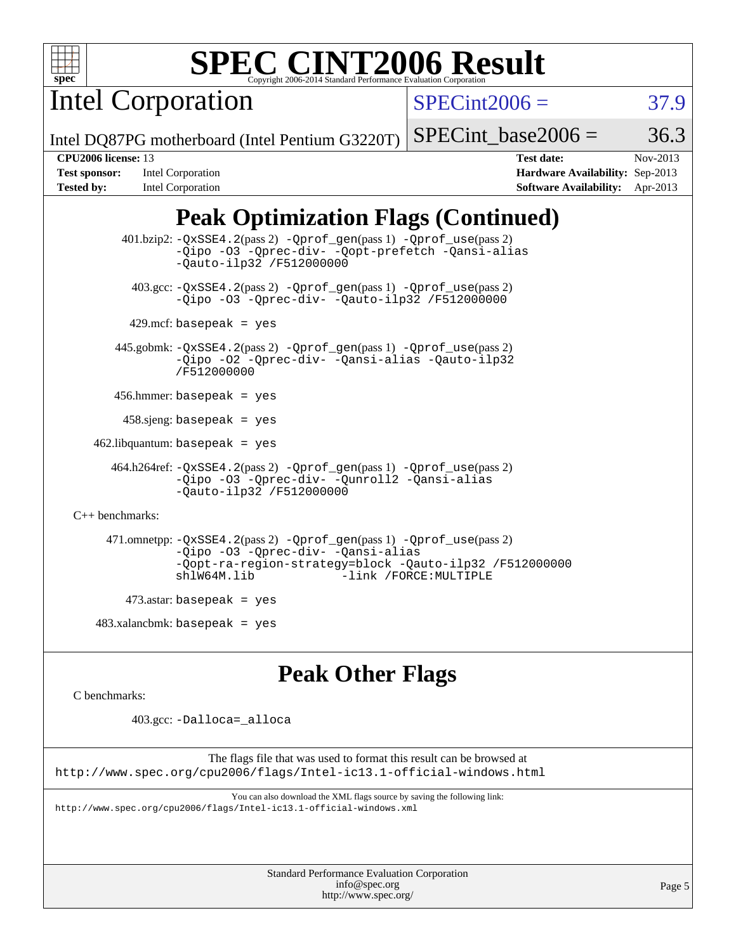

Intel Corporation

 $SPECint2006 = 37.9$  $SPECint2006 = 37.9$ 

Intel DQ87PG motherboard (Intel Pentium G3220T)

SPECint base2006 =  $36.3$ 

**[Tested by:](http://www.spec.org/auto/cpu2006/Docs/result-fields.html#Testedby)** Intel Corporation **[Software Availability:](http://www.spec.org/auto/cpu2006/Docs/result-fields.html#SoftwareAvailability)** Apr-2013

**[CPU2006 license:](http://www.spec.org/auto/cpu2006/Docs/result-fields.html#CPU2006license)** 13 **[Test date:](http://www.spec.org/auto/cpu2006/Docs/result-fields.html#Testdate)** Nov-2013 **[Test sponsor:](http://www.spec.org/auto/cpu2006/Docs/result-fields.html#Testsponsor)** Intel Corporation **[Hardware Availability:](http://www.spec.org/auto/cpu2006/Docs/result-fields.html#HardwareAvailability)** Sep-2013

# **[Peak Optimization Flags \(Continued\)](http://www.spec.org/auto/cpu2006/Docs/result-fields.html#PeakOptimizationFlags)**

 401.bzip2: [-QxSSE4.2](http://www.spec.org/cpu2006/results/res2014q3/cpu2006-20140701-30248.flags.html#user_peakPASS2_CFLAGSPASS2_LDFLAGS401_bzip2_f-QxSSE42_372695bbe211719895df0310b324a1ca)(pass 2) [-Qprof\\_gen](http://www.spec.org/cpu2006/results/res2014q3/cpu2006-20140701-30248.flags.html#user_peakPASS1_CFLAGSPASS1_LDFLAGS401_bzip2_Qprof_gen)(pass 1) [-Qprof\\_use](http://www.spec.org/cpu2006/results/res2014q3/cpu2006-20140701-30248.flags.html#user_peakPASS2_CFLAGSPASS2_LDFLAGS401_bzip2_Qprof_use)(pass 2) [-Qipo](http://www.spec.org/cpu2006/results/res2014q3/cpu2006-20140701-30248.flags.html#user_peakOPTIMIZE401_bzip2_f-Qipo) [-O3](http://www.spec.org/cpu2006/results/res2014q3/cpu2006-20140701-30248.flags.html#user_peakOPTIMIZE401_bzip2_f-O3) [-Qprec-div-](http://www.spec.org/cpu2006/results/res2014q3/cpu2006-20140701-30248.flags.html#user_peakOPTIMIZE401_bzip2_f-Qprec-div-) [-Qopt-prefetch](http://www.spec.org/cpu2006/results/res2014q3/cpu2006-20140701-30248.flags.html#user_peakOPTIMIZE401_bzip2_f-Qprefetch_37c211608666b9dff9380561f602f0a8) [-Qansi-alias](http://www.spec.org/cpu2006/results/res2014q3/cpu2006-20140701-30248.flags.html#user_peakOPTIMIZE401_bzip2_f-Qansi-alias) [-Qauto-ilp32](http://www.spec.org/cpu2006/results/res2014q3/cpu2006-20140701-30248.flags.html#user_peakCOPTIMIZE401_bzip2_f-Qauto-ilp32) [/F512000000](http://www.spec.org/cpu2006/results/res2014q3/cpu2006-20140701-30248.flags.html#user_peakEXTRA_LDFLAGS401_bzip2_set_stack_space_98438a10eb60aa5f35f4c79d9b9b27b1) 403.gcc: [-QxSSE4.2](http://www.spec.org/cpu2006/results/res2014q3/cpu2006-20140701-30248.flags.html#user_peakPASS2_CFLAGSPASS2_LDFLAGS403_gcc_f-QxSSE42_372695bbe211719895df0310b324a1ca)(pass 2) [-Qprof\\_gen](http://www.spec.org/cpu2006/results/res2014q3/cpu2006-20140701-30248.flags.html#user_peakPASS1_CFLAGSPASS1_LDFLAGS403_gcc_Qprof_gen)(pass 1) [-Qprof\\_use](http://www.spec.org/cpu2006/results/res2014q3/cpu2006-20140701-30248.flags.html#user_peakPASS2_CFLAGSPASS2_LDFLAGS403_gcc_Qprof_use)(pass 2) [-Qipo](http://www.spec.org/cpu2006/results/res2014q3/cpu2006-20140701-30248.flags.html#user_peakOPTIMIZE403_gcc_f-Qipo) [-O3](http://www.spec.org/cpu2006/results/res2014q3/cpu2006-20140701-30248.flags.html#user_peakOPTIMIZE403_gcc_f-O3) [-Qprec-div-](http://www.spec.org/cpu2006/results/res2014q3/cpu2006-20140701-30248.flags.html#user_peakOPTIMIZE403_gcc_f-Qprec-div-) [-Qauto-ilp32](http://www.spec.org/cpu2006/results/res2014q3/cpu2006-20140701-30248.flags.html#user_peakCOPTIMIZE403_gcc_f-Qauto-ilp32) [/F512000000](http://www.spec.org/cpu2006/results/res2014q3/cpu2006-20140701-30248.flags.html#user_peakEXTRA_LDFLAGS403_gcc_set_stack_space_98438a10eb60aa5f35f4c79d9b9b27b1)  $429$ .mcf: basepeak = yes 445.gobmk: [-QxSSE4.2](http://www.spec.org/cpu2006/results/res2014q3/cpu2006-20140701-30248.flags.html#user_peakPASS2_CFLAGSPASS2_LDFLAGS445_gobmk_f-QxSSE42_372695bbe211719895df0310b324a1ca)(pass 2) [-Qprof\\_gen](http://www.spec.org/cpu2006/results/res2014q3/cpu2006-20140701-30248.flags.html#user_peakPASS1_CFLAGSPASS1_LDFLAGS445_gobmk_Qprof_gen)(pass 1) [-Qprof\\_use](http://www.spec.org/cpu2006/results/res2014q3/cpu2006-20140701-30248.flags.html#user_peakPASS2_CFLAGSPASS2_LDFLAGS445_gobmk_Qprof_use)(pass 2) [-Qipo](http://www.spec.org/cpu2006/results/res2014q3/cpu2006-20140701-30248.flags.html#user_peakOPTIMIZE445_gobmk_f-Qipo) [-O2](http://www.spec.org/cpu2006/results/res2014q3/cpu2006-20140701-30248.flags.html#user_peakOPTIMIZE445_gobmk_f-O2) [-Qprec-div-](http://www.spec.org/cpu2006/results/res2014q3/cpu2006-20140701-30248.flags.html#user_peakOPTIMIZE445_gobmk_f-Qprec-div-) [-Qansi-alias](http://www.spec.org/cpu2006/results/res2014q3/cpu2006-20140701-30248.flags.html#user_peakOPTIMIZE445_gobmk_f-Qansi-alias) [-Qauto-ilp32](http://www.spec.org/cpu2006/results/res2014q3/cpu2006-20140701-30248.flags.html#user_peakCOPTIMIZE445_gobmk_f-Qauto-ilp32) [/F512000000](http://www.spec.org/cpu2006/results/res2014q3/cpu2006-20140701-30248.flags.html#user_peakEXTRA_LDFLAGS445_gobmk_set_stack_space_98438a10eb60aa5f35f4c79d9b9b27b1) 456.hmmer: basepeak = yes  $458 \text{.}$ sjeng: basepeak = yes  $462$ .libquantum: basepeak = yes 464.h264ref: [-QxSSE4.2](http://www.spec.org/cpu2006/results/res2014q3/cpu2006-20140701-30248.flags.html#user_peakPASS2_CFLAGSPASS2_LDFLAGS464_h264ref_f-QxSSE42_372695bbe211719895df0310b324a1ca)(pass 2) [-Qprof\\_gen](http://www.spec.org/cpu2006/results/res2014q3/cpu2006-20140701-30248.flags.html#user_peakPASS1_CFLAGSPASS1_LDFLAGS464_h264ref_Qprof_gen)(pass 1) [-Qprof\\_use](http://www.spec.org/cpu2006/results/res2014q3/cpu2006-20140701-30248.flags.html#user_peakPASS2_CFLAGSPASS2_LDFLAGS464_h264ref_Qprof_use)(pass 2) [-Qipo](http://www.spec.org/cpu2006/results/res2014q3/cpu2006-20140701-30248.flags.html#user_peakOPTIMIZE464_h264ref_f-Qipo) [-O3](http://www.spec.org/cpu2006/results/res2014q3/cpu2006-20140701-30248.flags.html#user_peakOPTIMIZE464_h264ref_f-O3) [-Qprec-div-](http://www.spec.org/cpu2006/results/res2014q3/cpu2006-20140701-30248.flags.html#user_peakOPTIMIZE464_h264ref_f-Qprec-div-) [-Qunroll2](http://www.spec.org/cpu2006/results/res2014q3/cpu2006-20140701-30248.flags.html#user_peakOPTIMIZE464_h264ref_f-Qunroll_1d9456aa650e77fc2a0cf43cef3fa08c) [-Qansi-alias](http://www.spec.org/cpu2006/results/res2014q3/cpu2006-20140701-30248.flags.html#user_peakOPTIMIZE464_h264ref_f-Qansi-alias) [-Qauto-ilp32](http://www.spec.org/cpu2006/results/res2014q3/cpu2006-20140701-30248.flags.html#user_peakCOPTIMIZE464_h264ref_f-Qauto-ilp32) [/F512000000](http://www.spec.org/cpu2006/results/res2014q3/cpu2006-20140701-30248.flags.html#user_peakEXTRA_LDFLAGS464_h264ref_set_stack_space_98438a10eb60aa5f35f4c79d9b9b27b1) [C++ benchmarks:](http://www.spec.org/auto/cpu2006/Docs/result-fields.html#CXXbenchmarks) 471.omnetpp: [-QxSSE4.2](http://www.spec.org/cpu2006/results/res2014q3/cpu2006-20140701-30248.flags.html#user_peakPASS2_CXXFLAGSPASS2_LDFLAGS471_omnetpp_f-QxSSE42_372695bbe211719895df0310b324a1ca)(pass 2) [-Qprof\\_gen](http://www.spec.org/cpu2006/results/res2014q3/cpu2006-20140701-30248.flags.html#user_peakPASS1_CXXFLAGSPASS1_LDFLAGS471_omnetpp_Qprof_gen)(pass 1) [-Qprof\\_use](http://www.spec.org/cpu2006/results/res2014q3/cpu2006-20140701-30248.flags.html#user_peakPASS2_CXXFLAGSPASS2_LDFLAGS471_omnetpp_Qprof_use)(pass 2) [-Qipo](http://www.spec.org/cpu2006/results/res2014q3/cpu2006-20140701-30248.flags.html#user_peakOPTIMIZE471_omnetpp_f-Qipo) [-O3](http://www.spec.org/cpu2006/results/res2014q3/cpu2006-20140701-30248.flags.html#user_peakOPTIMIZE471_omnetpp_f-O3) [-Qprec-div-](http://www.spec.org/cpu2006/results/res2014q3/cpu2006-20140701-30248.flags.html#user_peakOPTIMIZE471_omnetpp_f-Qprec-div-) [-Qansi-alias](http://www.spec.org/cpu2006/results/res2014q3/cpu2006-20140701-30248.flags.html#user_peakOPTIMIZE471_omnetpp_f-Qansi-alias) [-Qopt-ra-region-strategy=block](http://www.spec.org/cpu2006/results/res2014q3/cpu2006-20140701-30248.flags.html#user_peakOPTIMIZE471_omnetpp_f-Qopt-ra-region-strategy_d2240e80a5d9053a1fd400255dbf4159) [-Qauto-ilp32](http://www.spec.org/cpu2006/results/res2014q3/cpu2006-20140701-30248.flags.html#user_peakCXXOPTIMIZE471_omnetpp_f-Qauto-ilp32) [/F512000000](http://www.spec.org/cpu2006/results/res2014q3/cpu2006-20140701-30248.flags.html#user_peakEXTRA_LDFLAGS471_omnetpp_set_stack_space_98438a10eb60aa5f35f4c79d9b9b27b1) [shlW64M.lib](http://www.spec.org/cpu2006/results/res2014q3/cpu2006-20140701-30248.flags.html#user_peakEXTRA_LIBS471_omnetpp_SmartHeap64_c4f7f76711bdf8c0633a5c1edf6e5396) [-link /FORCE:MULTIPLE](http://www.spec.org/cpu2006/results/res2014q3/cpu2006-20140701-30248.flags.html#user_peakLDOUT471_omnetpp_link_force_multiple2_070fe330869edf77077b841074b8b0b6)  $473$ .astar: basepeak = yes  $483.xalanchmk: basepeak = yes$ 

## **[Peak Other Flags](http://www.spec.org/auto/cpu2006/Docs/result-fields.html#PeakOtherFlags)**

[C benchmarks](http://www.spec.org/auto/cpu2006/Docs/result-fields.html#Cbenchmarks):

403.gcc: [-Dalloca=\\_alloca](http://www.spec.org/cpu2006/results/res2014q3/cpu2006-20140701-30248.flags.html#b403.gcc_peakEXTRA_CFLAGS_Dalloca_be3056838c12de2578596ca5467af7f3)

The flags file that was used to format this result can be browsed at <http://www.spec.org/cpu2006/flags/Intel-ic13.1-official-windows.html>

You can also download the XML flags source by saving the following link: <http://www.spec.org/cpu2006/flags/Intel-ic13.1-official-windows.xml>